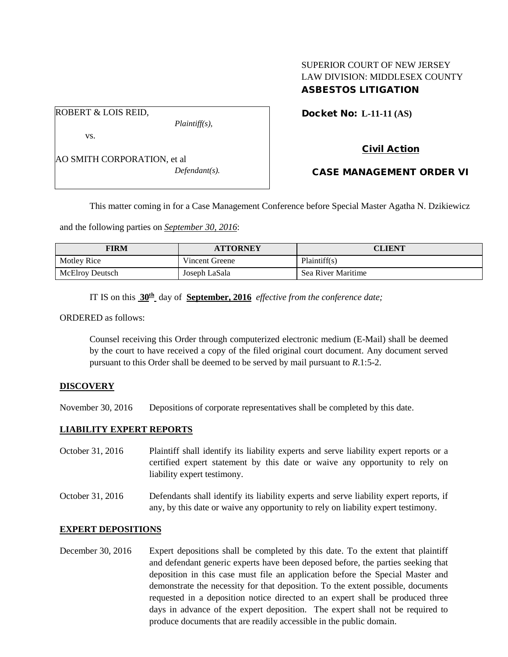## SUPERIOR COURT OF NEW JERSEY LAW DIVISION: MIDDLESEX COUNTY ASBESTOS LITIGATION

Docket No: **L-11-11 (AS)** 

ROBERT & LOIS REID,

vs.

*Plaintiff(s),*

Civil Action

AO SMITH CORPORATION, et al *Defendant(s).*

CASE MANAGEMENT ORDER VI

This matter coming in for a Case Management Conference before Special Master Agatha N. Dzikiewicz

and the following parties on *September 30, 2016*:

| FIRM                   | <b>ATTORNEY</b> | CLIENT             |
|------------------------|-----------------|--------------------|
| Motley Rice            | Vincent Greene  | Plaintiff(s)       |
| <b>McElroy Deutsch</b> | Joseph LaSala   | Sea River Maritime |

IT IS on this **30th** day of **September, 2016** *effective from the conference date;*

ORDERED as follows:

Counsel receiving this Order through computerized electronic medium (E-Mail) shall be deemed by the court to have received a copy of the filed original court document. Any document served pursuant to this Order shall be deemed to be served by mail pursuant to *R*.1:5-2.

### **DISCOVERY**

November 30, 2016 Depositions of corporate representatives shall be completed by this date.

#### **LIABILITY EXPERT REPORTS**

October 31, 2016 Plaintiff shall identify its liability experts and serve liability expert reports or a certified expert statement by this date or waive any opportunity to rely on liability expert testimony.

October 31, 2016 Defendants shall identify its liability experts and serve liability expert reports, if any, by this date or waive any opportunity to rely on liability expert testimony.

#### **EXPERT DEPOSITIONS**

December 30, 2016 Expert depositions shall be completed by this date. To the extent that plaintiff and defendant generic experts have been deposed before, the parties seeking that deposition in this case must file an application before the Special Master and demonstrate the necessity for that deposition. To the extent possible, documents requested in a deposition notice directed to an expert shall be produced three days in advance of the expert deposition. The expert shall not be required to produce documents that are readily accessible in the public domain.